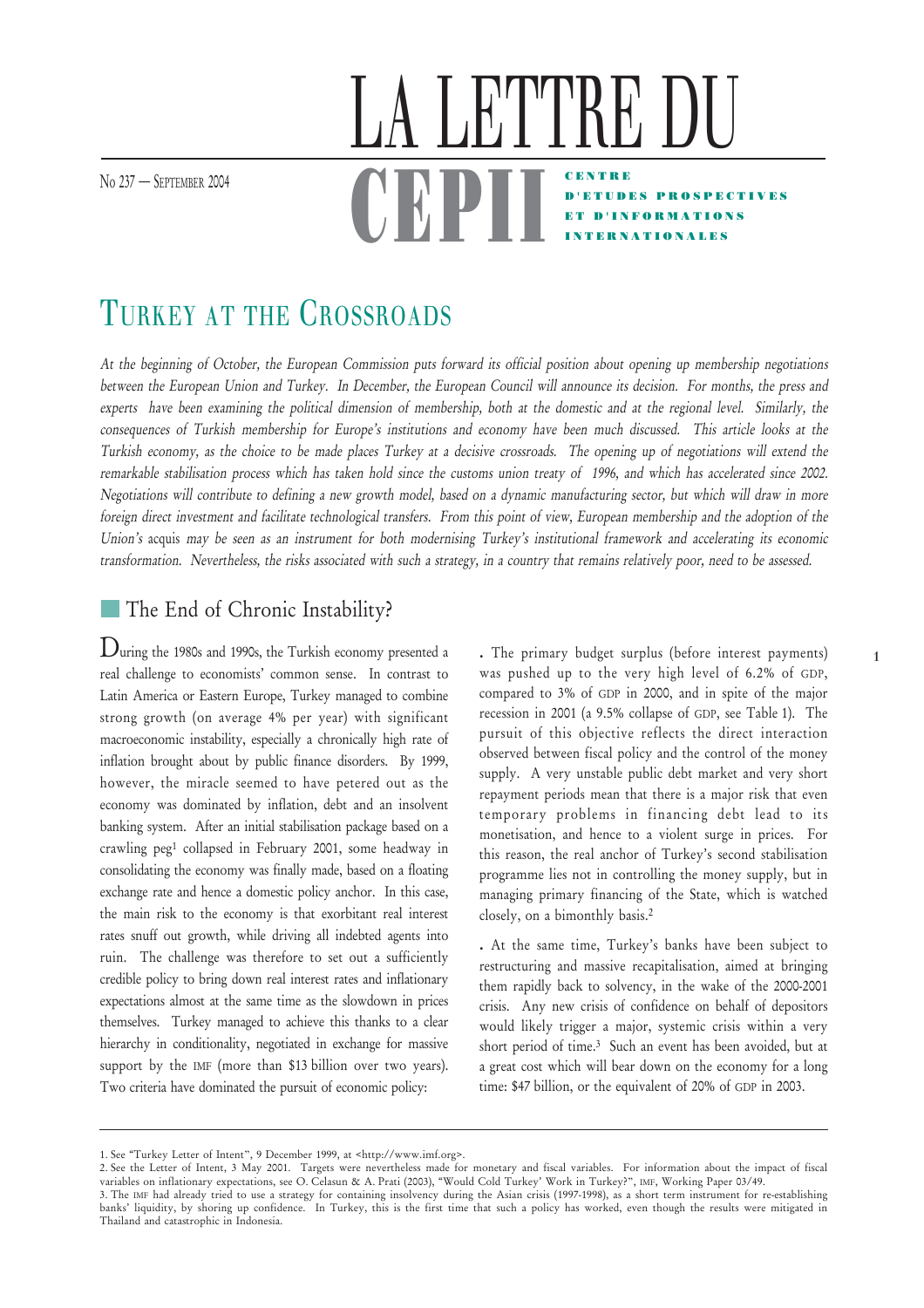No 237 – SEPTEMBER 2004

## CENTRE D'ETUDES PROSPECTIVES ET D'INFORMATIONS **ATIONALES** LA LETTRE DU <u>UDFII</u>

# TURKEY AT THE CROSSROADS

At the beginning of October, the European Commission puts forward its official position about opening up membership negotiations between the European Union and Turkey. In December, the European Council will announce its decision. For months, the press and experts have been examining the political dimension of membership, both at the domestic and at the regional level. Similarly, the consequences of Turkish membership for Europe's institutions and economy have been much discussed. This article looks at the Turkish economy, as the choice to be made places Turkey at a decisive crossroads. The opening up of negotiations will extend the remarkable stabilisation process which has taken hold since the customs union treaty of 1996, and which has accelerated since 2002. Negotiations will contribute to defining a new growth model, based on a dynamic manufacturing sector, but which will draw in more foreign direct investment and facilitate technological transfers. From this point of view, European membership and the adoption of the Union's acquis may be seen as an instrument for both modernising Turkey's institutional framework and accelerating its economic transformation. Nevertheless, the risks associated with such a strategy, in a country that remains relatively poor, need to be assessed.

### The End of Chronic Instability?

During the 1980s and 1990s, the Turkish economy presented a real challenge to economists' common sense. In contrast to Latin America or Eastern Europe, Turkey managed to combine strong growth (on average 4% per year) with significant macroeconomic instability, especially a chronically high rate of inflation brought about by public finance disorders. By 1999, however, the miracle seemed to have petered out as the economy was dominated by inflation, debt and an insolvent banking system. After an initial stabilisation package based on a crawling peg1 collapsed in February 2001, some headway in consolidating the economy was finally made, based on a floating exchange rate and hence a domestic policy anchor. In this case, the main risk to the economy is that exorbitant real interest rates snuff out growth, while driving all indebted agents into ruin. The challenge was therefore to set out a sufficiently credible policy to bring down real interest rates and inflationary expectations almost at the same time as the slowdown in prices themselves. Turkey managed to achieve this thanks to a clear hierarchy in conditionality, negotiated in exchange for massive support by the IMF (more than \$13 billion over two years). Two criteria have dominated the pursuit of economic policy:

**.** The primary budget surplus (before interest payments) was pushed up to the very high level of 6.2% of GDP, compared to 3% of GDP in 2000, and in spite of the major recession in 2001 (a 9.5% collapse of GDP, see Table 1). The pursuit of this objective reflects the direct interaction observed between fiscal policy and the control of the money supply. A very unstable public debt market and very short repayment periods mean that there is a major risk that even temporary problems in financing debt lead to its monetisation, and hence to a violent surge in prices. For this reason, the real anchor of Turkey's second stabilisation programme lies not in controlling the money supply, but in managing primary financing of the State, which is watched closely, on a bimonthly basis.2

**.** At the same time, Turkey's banks have been subject to restructuring and massive recapitalisation, aimed at bringing them rapidly back to solvency, in the wake of the 2000-2001 crisis. Any new crisis of confidence on behalf of depositors would likely trigger a major, systemic crisis within a very short period of time.3 Such an event has been avoided, but at a great cost which will bear down on the economy for a long time: \$47 billion, or the equivalent of 20% of GDP in 2003.

<sup>1.</sup> See "Turkey Letter of Intent", 9 December 1999, at <http://www.imf.org>.

<sup>2.</sup> See the Letter of Intent, 3 May 2001. Targets were nevertheless made for monetary and fiscal variables. For information about the impact of fiscal variables on inflationary expectations, see O. Celasun & A. Prati (2003), "Would Cold Turkey' Work in Turkey?", IMF, Working Paper 03/49.

<sup>3.</sup> The IMF had already tried to use a strategy for containing insolvency during the Asian crisis (1997-1998), as a short term instrument for re-establishing banks' liquidity, by shoring up confidence. In Turkey, this is the first time that such a policy has worked, even though the results were mitigated in Thailand and catastrophic in Indonesia.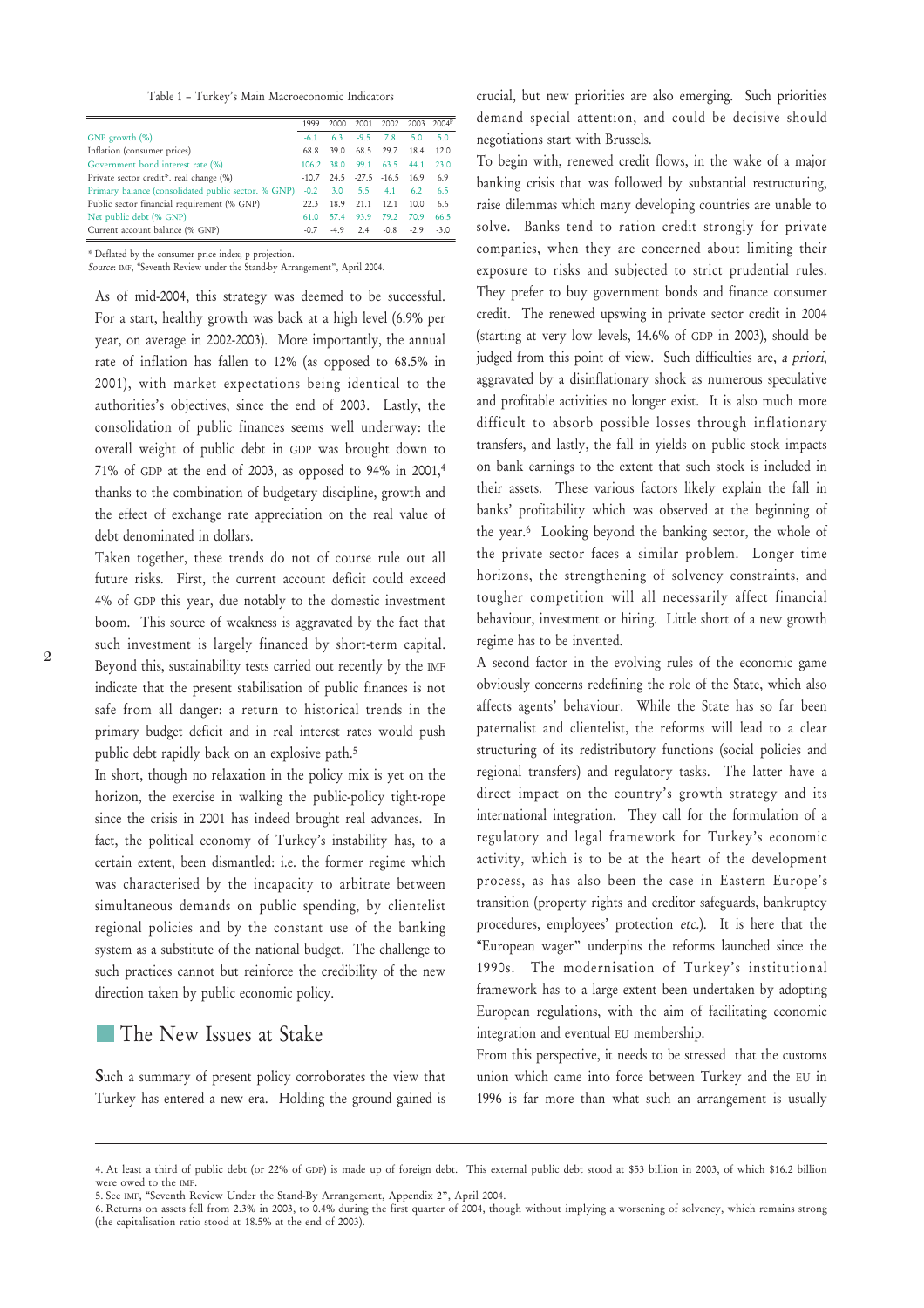Table 1 – Turkey's Main Macroeconomic Indicators

|                                                     | 1999       |      |            | 2000 2001 2002 2003 2004 <sup>P</sup> |      |      |
|-----------------------------------------------------|------------|------|------------|---------------------------------------|------|------|
| GNP growth $(\%)$                                   | $-61$      | 63   | $-9.5$ 7.8 |                                       | 5.0  | 5.0  |
| Inflation (consumer prices)                         | 68.8       | 39.0 |            | 68.5 29.7 18.4                        |      | 12.0 |
| Government bond interest rate (%)                   | 106.2 38.0 |      |            | 99.1 63.5 44.1                        |      | 23.0 |
| Private sector credit*. real change (%)             |            |      |            | $-10.7$ 24.5 $-27.5$ $-16.5$ 16.9     |      | 6.9  |
| Primary balance (consolidated public sector. % GNP) | $-0.2$     | 3.0  |            | 5.5 4.1 6.2                           |      | 6.5  |
| Public sector financial requirement (% GNP)         | 22.3       | 18.9 | 21.1       | 12.1                                  | 10.0 | 6.6  |
| Net public debt (% GNP)                             | 61.0       | 57.4 | 93.9       | 79.2 70.9                             |      | 66.5 |
| Current account balance (% GNP)                     | $-0.7$     | -49  |            | $2.4$ $-0.8$ $-2.9$ $-3.0$            |      |      |

\* Deflated by the consumer price index; p projection.

Source: IMF, "Seventh Review under the Stand-by Arrangement", April 2004.

As of mid-2004, this strategy was deemed to be successful. For a start, healthy growth was back at a high level (6.9% per year, on average in 2002-2003). More importantly, the annual rate of inflation has fallen to 12% (as opposed to 68.5% in 2001), with market expectations being identical to the authorities's objectives, since the end of 2003. Lastly, the consolidation of public finances seems well underway: the overall weight of public debt in GDP was brought down to 71% of GDP at the end of 2003, as opposed to 94% in 2001,4 thanks to the combination of budgetary discipline, growth and the effect of exchange rate appreciation on the real value of debt denominated in dollars.

Taken together, these trends do not of course rule out all future risks. First, the current account deficit could exceed 4% of GDP this year, due notably to the domestic investment boom. This source of weakness is aggravated by the fact that such investment is largely financed by short-term capital. Beyond this, sustainability tests carried out recently by the IMF indicate that the present stabilisation of public finances is not safe from all danger: a return to historical trends in the primary budget deficit and in real interest rates would push public debt rapidly back on an explosive path.<sup>5</sup>

In short, though no relaxation in the policy mix is yet on the horizon, the exercise in walking the public-policy tight-rope since the crisis in 2001 has indeed brought real advances. In fact, the political economy of Turkey's instability has, to a certain extent, been dismantled: i.e. the former regime which was characterised by the incapacity to arbitrate between simultaneous demands on public spending, by clientelist regional policies and by the constant use of the banking system as a substitute of the national budget. The challenge to such practices cannot but reinforce the credibility of the new direction taken by public economic policy.

#### The New Issues at Stake

Such a summary of present policy corroborates the view that Turkey has entered a new era. Holding the ground gained is crucial, but new priorities are also emerging. Such priorities demand special attention, and could be decisive should negotiations start with Brussels.

To begin with, renewed credit flows, in the wake of a major banking crisis that was followed by substantial restructuring, raise dilemmas which many developing countries are unable to solve. Banks tend to ration credit strongly for private companies, when they are concerned about limiting their exposure to risks and subjected to strict prudential rules. They prefer to buy government bonds and finance consumer credit. The renewed upswing in private sector credit in 2004 (starting at very low levels, 14.6% of GDP in 2003), should be judged from this point of view. Such difficulties are, a priori, aggravated by a disinflationary shock as numerous speculative and profitable activities no longer exist. It is also much more difficult to absorb possible losses through inflationary transfers, and lastly, the fall in yields on public stock impacts on bank earnings to the extent that such stock is included in their assets. These various factors likely explain the fall in banks' profitability which was observed at the beginning of the year.6 Looking beyond the banking sector, the whole of the private sector faces a similar problem. Longer time horizons, the strengthening of solvency constraints, and tougher competition will all necessarily affect financial behaviour, investment or hiring. Little short of a new growth regime has to be invented.

A second factor in the evolving rules of the economic game obviously concerns redefining the role of the State, which also affects agents' behaviour. While the State has so far been paternalist and clientelist, the reforms will lead to a clear structuring of its redistributory functions (social policies and regional transfers) and regulatory tasks. The latter have a direct impact on the country's growth strategy and its international integration. They call for the formulation of a regulatory and legal framework for Turkey's economic activity, which is to be at the heart of the development process, as has also been the case in Eastern Europe's transition (property rights and creditor safeguards, bankruptcy procedures, employees' protection etc.). It is here that the "European wager" underpins the reforms launched since the 1990s. The modernisation of Turkey's institutional framework has to a large extent been undertaken by adopting European regulations, with the aim of facilitating economic integration and eventual EU membership.

From this perspective, it needs to be stressed that the customs union which came into force between Turkey and the EU in 1996 is far more than what such an arrangement is usually

<sup>4.</sup> At least a third of public debt (or 22% of GDP) is made up of foreign debt. This external public debt stood at \$53 billion in 2003, of which \$16.2 billion were owed to the IMF.

<sup>5.</sup> See IMF, "Seventh Review Under the Stand-By Arrangement, Appendix 2", April 2004.

<sup>6.</sup> Returns on assets fell from 2.3% in 2003, to 0.4% during the first quarter of 2004, though without implying a worsening of solvency, which remains strong (the capitalisation ratio stood at 18.5% at the end of 2003).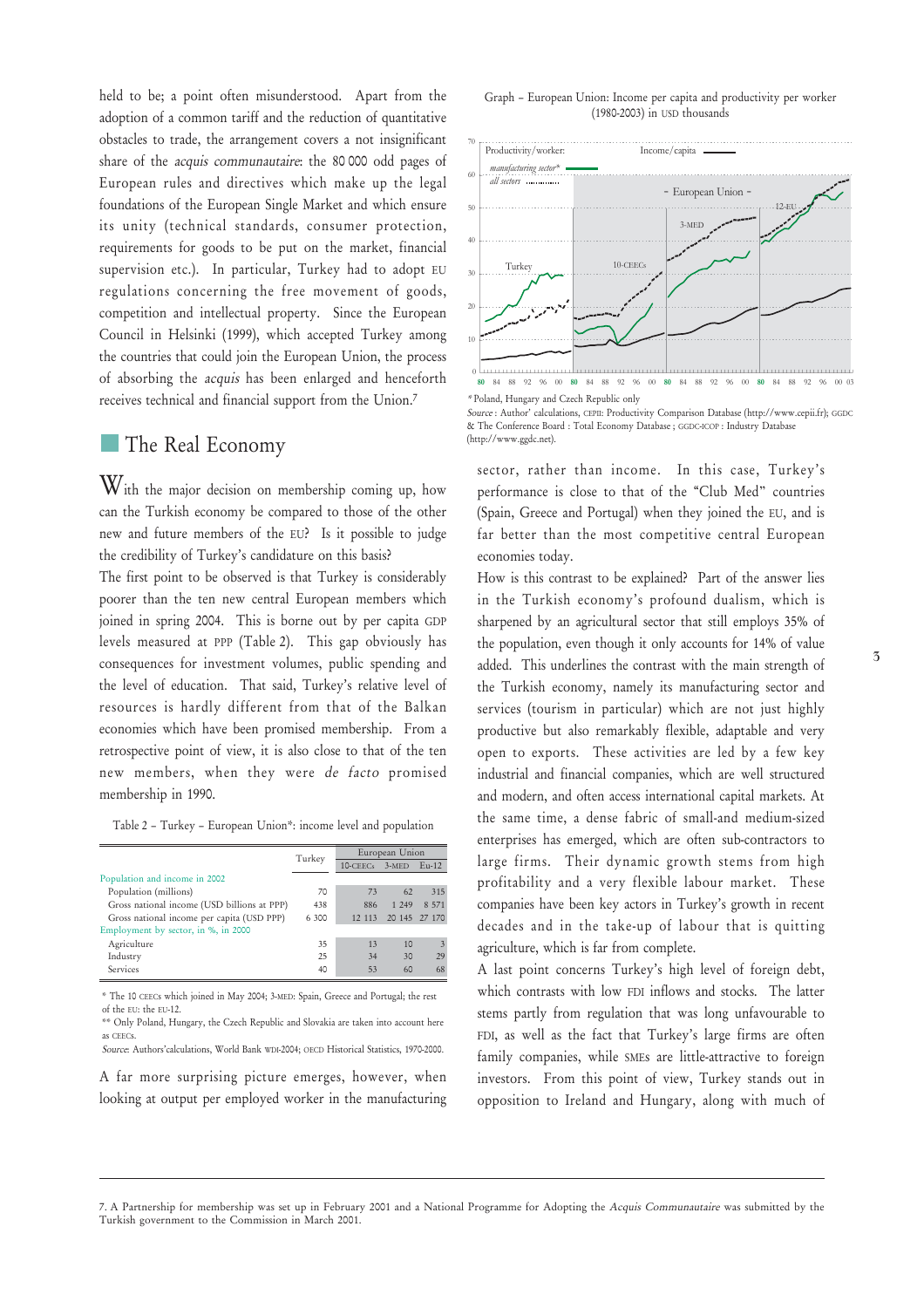held to be; a point often misunderstood. Apart from the adoption of a common tariff and the reduction of quantitative obstacles to trade, the arrangement covers a not insignificant share of the acquis communautaire: the 80 000 odd pages of European rules and directives which make up the legal foundations of the European Single Market and which ensure its unity (technical standards, consumer protection, requirements for goods to be put on the market, financial supervision etc.). In particular, Turkey had to adopt EU regulations concerning the free movement of goods, competition and intellectual property. Since the European Council in Helsinki (1999), which accepted Turkey among the countries that could join the European Union, the process of absorbing the acquis has been enlarged and henceforth receives technical and financial support from the Union.7

#### The Real Economy

With the major decision on membership coming up, how can the Turkish economy be compared to those of the other new and future members of the EU? Is it possible to judge the credibility of Turkey's candidature on this basis?

The first point to be observed is that Turkey is considerably poorer than the ten new central European members which joined in spring 2004. This is borne out by per capita GDP levels measured at PPP (Table 2). This gap obviously has consequences for investment volumes, public spending and the level of education. That said, Turkey's relative level of resources is hardly different from that of the Balkan economies which have been promised membership. From a retrospective point of view, it is also close to that of the ten new members, when they were de facto promised membership in 1990.

Table 2 – Turkey – European Union\*: income level and population

|                                             | Turkey | European Union |         |                         |  |  |
|---------------------------------------------|--------|----------------|---------|-------------------------|--|--|
|                                             |        | 10-CEECs       | 3-MED   | $Eu-12$                 |  |  |
| Population and income in 2002               |        |                |         |                         |  |  |
| Population (millions)                       | 70     | 73             | 62      | 315                     |  |  |
| Gross national income (USD billions at PPP) | 438    | 886            | 1 2 4 9 | 8 5 7 1                 |  |  |
| Gross national income per capita (USD PPP)  | 6 300  | 12 113         |         | 20 145 27 170           |  |  |
| Employment by sector, in %, in 2000         |        |                |         |                         |  |  |
| Agriculture                                 | 35     | 13             | 10      | $\overline{\mathbf{3}}$ |  |  |
| Industry                                    | 25     | 34             | 30      | 29                      |  |  |
| Services                                    | 40     | 53             | 60      | 68                      |  |  |

\* The 10 CEECs which joined in May 2004; 3-MED: Spain, Greece and Portugal; the rest of the EU: the EU-12.

\*\* Only Poland, Hungary, the Czech Republic and Slovakia are taken into account here as CEECs. Source: Authors'calculations, World Bank WDI-2004; OECD Historical Statistics, 1970-2000.

A far more surprising picture emerges, however, when looking at output per employed worker in the manufacturing





<sup>\*</sup> Poland, Hungary and Czech Republic only

Source : Author' calculations, CEPII: Productivity Comparison Database (http://www.cepii.fr); GGDC & The Conference Board : Total Economy Database ; GGDC-ICOP : Industry Database (http://www.ggdc.net).

sector, rather than income. In this case, Turkey's performance is close to that of the "Club Med" countries (Spain, Greece and Portugal) when they joined the EU, and is far better than the most competitive central European economies today.

How is this contrast to be explained? Part of the answer lies in the Turkish economy's profound dualism, which is sharpened by an agricultural sector that still employs 35% of the population, even though it only accounts for 14% of value added. This underlines the contrast with the main strength of the Turkish economy, namely its manufacturing sector and services (tourism in particular) which are not just highly productive but also remarkably flexible, adaptable and very open to exports. These activities are led by a few key industrial and financial companies, which are well structured and modern, and often access international capital markets. At the same time, a dense fabric of small-and medium-sized enterprises has emerged, which are often sub-contractors to large firms. Their dynamic growth stems from high profitability and a very flexible labour market. These companies have been key actors in Turkey's growth in recent decades and in the take-up of labour that is quitting agriculture, which is far from complete.

A last point concerns Turkey's high level of foreign debt, which contrasts with low FDI inflows and stocks. The latter stems partly from regulation that was long unfavourable to FDI, as well as the fact that Turkey's large firms are often family companies, while SMEs are little-attractive to foreign investors. From this point of view, Turkey stands out in opposition to Ireland and Hungary, along with much of

<sup>7.</sup> A Partnership for membership was set up in February 2001 and a National Programme for Adopting the Acquis Communautaire was submitted by the Turkish government to the Commission in March 2001.